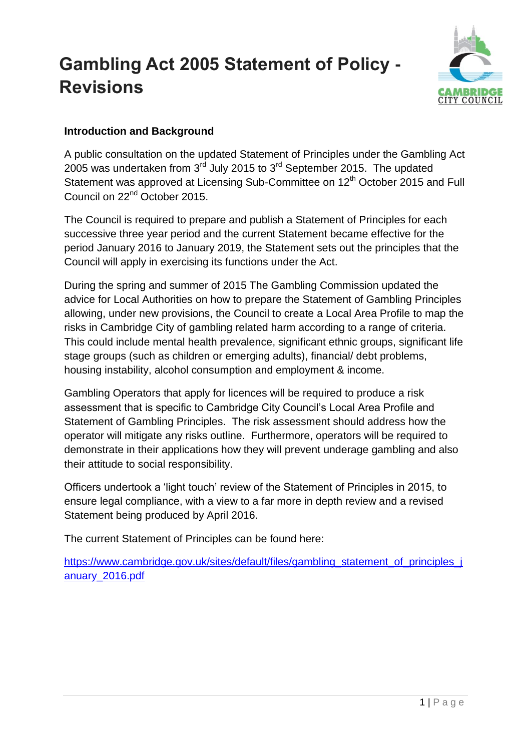# **Gambling Act 2005 Statement of Policy - Revisions**



## **Introduction and Background**

A public consultation on the updated Statement of Principles under the Gambling Act 2005 was undertaken from  $3<sup>rd</sup>$  July 2015 to  $3<sup>rd</sup>$  September 2015. The updated Statement was approved at Licensing Sub-Committee on 12<sup>th</sup> October 2015 and Full Council on 22nd October 2015.

The Council is required to prepare and publish a Statement of Principles for each successive three year period and the current Statement became effective for the period January 2016 to January 2019, the Statement sets out the principles that the Council will apply in exercising its functions under the Act.

During the spring and summer of 2015 The Gambling Commission updated the advice for Local Authorities on how to prepare the Statement of Gambling Principles allowing, under new provisions, the Council to create a Local Area Profile to map the risks in Cambridge City of gambling related harm according to a range of criteria. This could include mental health prevalence, significant ethnic groups, significant life stage groups (such as children or emerging adults), financial/ debt problems, housing instability, alcohol consumption and employment & income.

Gambling Operators that apply for licences will be required to produce a risk assessment that is specific to Cambridge City Council's Local Area Profile and Statement of Gambling Principles. The risk assessment should address how the operator will mitigate any risks outline. Furthermore, operators will be required to demonstrate in their applications how they will prevent underage gambling and also their attitude to social responsibility.

Officers undertook a 'light touch' review of the Statement of Principles in 2015, to ensure legal compliance, with a view to a far more in depth review and a revised Statement being produced by April 2016.

The current Statement of Principles can be found here:

[https://www.cambridge.gov.uk/sites/default/files/gambling\\_statement\\_of\\_principles\\_j](https://www.cambridge.gov.uk/sites/default/files/gambling_statement_of_principles_january_2016.pdf) [anuary\\_2016.pdf](https://www.cambridge.gov.uk/sites/default/files/gambling_statement_of_principles_january_2016.pdf)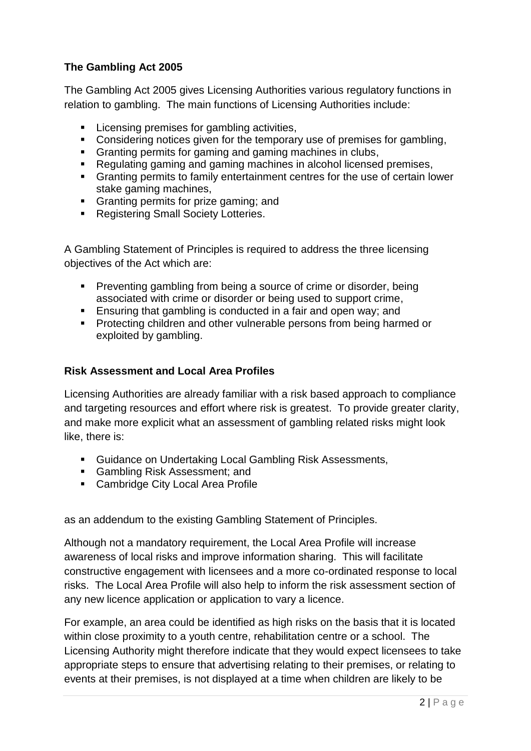### **The Gambling Act 2005**

The Gambling Act 2005 gives Licensing Authorities various regulatory functions in relation to gambling. The main functions of Licensing Authorities include:

- **EXECTE:** Licensing premises for gambling activities,
- Considering notices given for the temporary use of premises for gambling,
- Granting permits for gaming and gaming machines in clubs,
- Regulating gaming and gaming machines in alcohol licensed premises,
- Granting permits to family entertainment centres for the use of certain lower stake gaming machines,
- Granting permits for prize gaming; and
- **Registering Small Society Lotteries.**

A Gambling Statement of Principles is required to address the three licensing objectives of the Act which are:

- **Preventing gambling from being a source of crime or disorder, being** associated with crime or disorder or being used to support crime,
- **Ensuring that gambling is conducted in a fair and open way; and**
- **Protecting children and other vulnerable persons from being harmed or** exploited by gambling.

#### **Risk Assessment and Local Area Profiles**

Licensing Authorities are already familiar with a risk based approach to compliance and targeting resources and effort where risk is greatest. To provide greater clarity, and make more explicit what an assessment of gambling related risks might look like, there is:

- **Guidance on Undertaking Local Gambling Risk Assessments,**
- Gambling Risk Assessment; and
- **EXEC** Cambridge City Local Area Profile

as an addendum to the existing Gambling Statement of Principles.

Although not a mandatory requirement, the Local Area Profile will increase awareness of local risks and improve information sharing. This will facilitate constructive engagement with licensees and a more co-ordinated response to local risks. The Local Area Profile will also help to inform the risk assessment section of any new licence application or application to vary a licence.

For example, an area could be identified as high risks on the basis that it is located within close proximity to a youth centre, rehabilitation centre or a school. The Licensing Authority might therefore indicate that they would expect licensees to take appropriate steps to ensure that advertising relating to their premises, or relating to events at their premises, is not displayed at a time when children are likely to be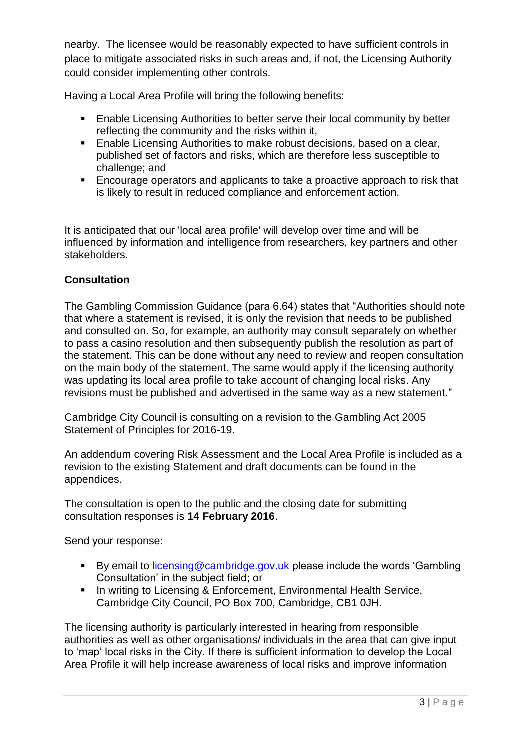nearby. The licensee would be reasonably expected to have sufficient controls in place to mitigate associated risks in such areas and, if not, the Licensing Authority could consider implementing other controls.

Having a Local Area Profile will bring the following benefits:

- **Enable Licensing Authorities to better serve their local community by better** reflecting the community and the risks within it,
- **Enable Licensing Authorities to make robust decisions, based on a clear,** published set of factors and risks, which are therefore less susceptible to challenge; and
- Encourage operators and applicants to take a proactive approach to risk that is likely to result in reduced compliance and enforcement action.

It is anticipated that our 'local area profile' will develop over time and will be influenced by information and intelligence from researchers, key partners and other stakeholders.

### **Consultation**

The Gambling Commission Guidance (para 6.64) states that "Authorities should note that where a statement is revised, it is only the revision that needs to be published and consulted on. So, for example, an authority may consult separately on whether to pass a casino resolution and then subsequently publish the resolution as part of the statement. This can be done without any need to review and reopen consultation on the main body of the statement. The same would apply if the licensing authority was updating its local area profile to take account of changing local risks. Any revisions must be published and advertised in the same way as a new statement."

Cambridge City Council is consulting on a revision to the Gambling Act 2005 Statement of Principles for 2016-19.

An addendum covering Risk Assessment and the Local Area Profile is included as a revision to the existing Statement and draft documents can be found in the appendices.

The consultation is open to the public and the closing date for submitting consultation responses is **14 February 2016**.

Send your response:

- By email to [licensing@cambridge.gov.uk](mailto:licensing@cambridge.gov.uk) please include the words 'Gambling' Consultation' in the subject field; or
- **In writing to Licensing & Enforcement, Environmental Health Service,** Cambridge City Council, PO Box 700, Cambridge, CB1 0JH.

The licensing authority is particularly interested in hearing from responsible authorities as well as other organisations/ individuals in the area that can give input to 'map' local risks in the City. If there is sufficient information to develop the Local Area Profile it will help increase awareness of local risks and improve information